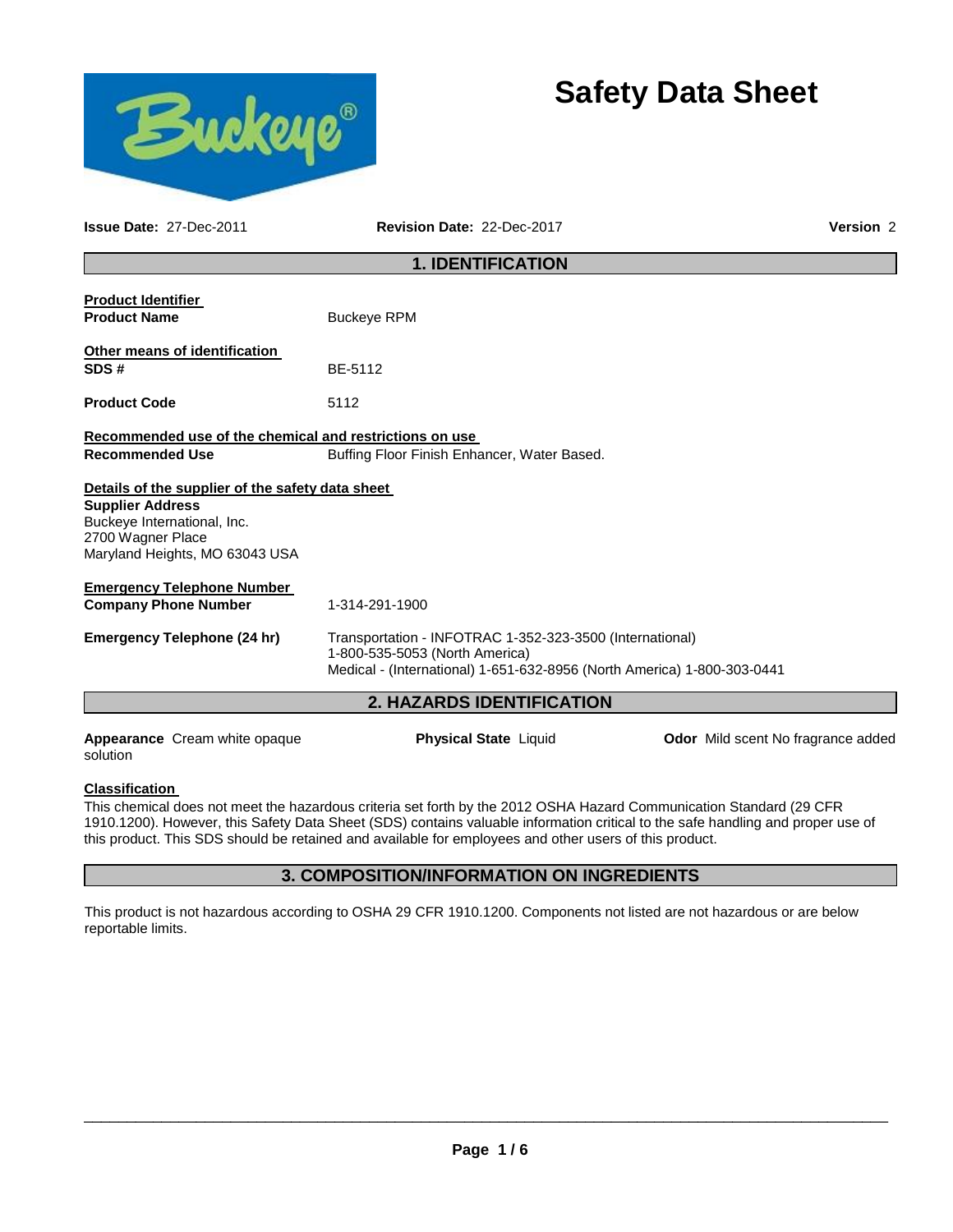# **Safety Data Sheet**



**Issue Date:** 27-Dec-2011 **Revision Date:** 22-Dec-2017 **Version** 2

## **1. IDENTIFICATION**

| <b>Product Identifier</b><br><b>Product Name</b>                                                                                                                  | <b>Buckeye RPM</b>                                                                                                                                                    |                                           |  |  |
|-------------------------------------------------------------------------------------------------------------------------------------------------------------------|-----------------------------------------------------------------------------------------------------------------------------------------------------------------------|-------------------------------------------|--|--|
| Other means of identification<br>SDS#                                                                                                                             | BF-5112                                                                                                                                                               |                                           |  |  |
| <b>Product Code</b>                                                                                                                                               | 5112                                                                                                                                                                  |                                           |  |  |
| Recommended use of the chemical and restrictions on use<br><b>Recommended Use</b>                                                                                 | Buffing Floor Finish Enhancer, Water Based.                                                                                                                           |                                           |  |  |
| Details of the supplier of the safety data sheet<br><b>Supplier Address</b><br>Buckeye International, Inc.<br>2700 Wagner Place<br>Maryland Heights, MO 63043 USA |                                                                                                                                                                       |                                           |  |  |
| <b>Emergency Telephone Number</b><br><b>Company Phone Number</b>                                                                                                  | 1-314-291-1900                                                                                                                                                        |                                           |  |  |
| <b>Emergency Telephone (24 hr)</b>                                                                                                                                | Transportation - INFOTRAC 1-352-323-3500 (International)<br>1-800-535-5053 (North America)<br>Medical - (International) 1-651-632-8956 (North America) 1-800-303-0441 |                                           |  |  |
| <b>2. HAZARDS IDENTIFICATION</b>                                                                                                                                  |                                                                                                                                                                       |                                           |  |  |
| <b>Appearance</b> Cream white opaque<br>solution                                                                                                                  | <b>Physical State Liquid</b>                                                                                                                                          | <b>Odor</b> Mild scent No fragrance added |  |  |

#### **Classification**

This chemical does not meet the hazardous criteria set forth by the 2012 OSHA Hazard Communication Standard (29 CFR 1910.1200). However, this Safety Data Sheet (SDS) contains valuable information critical to the safe handling and proper use of this product. This SDS should be retained and available for employees and other users of this product.

## **3. COMPOSITION/INFORMATION ON INGREDIENTS**

This product is not hazardous according to OSHA 29 CFR 1910.1200. Components not listed are not hazardous or are below reportable limits.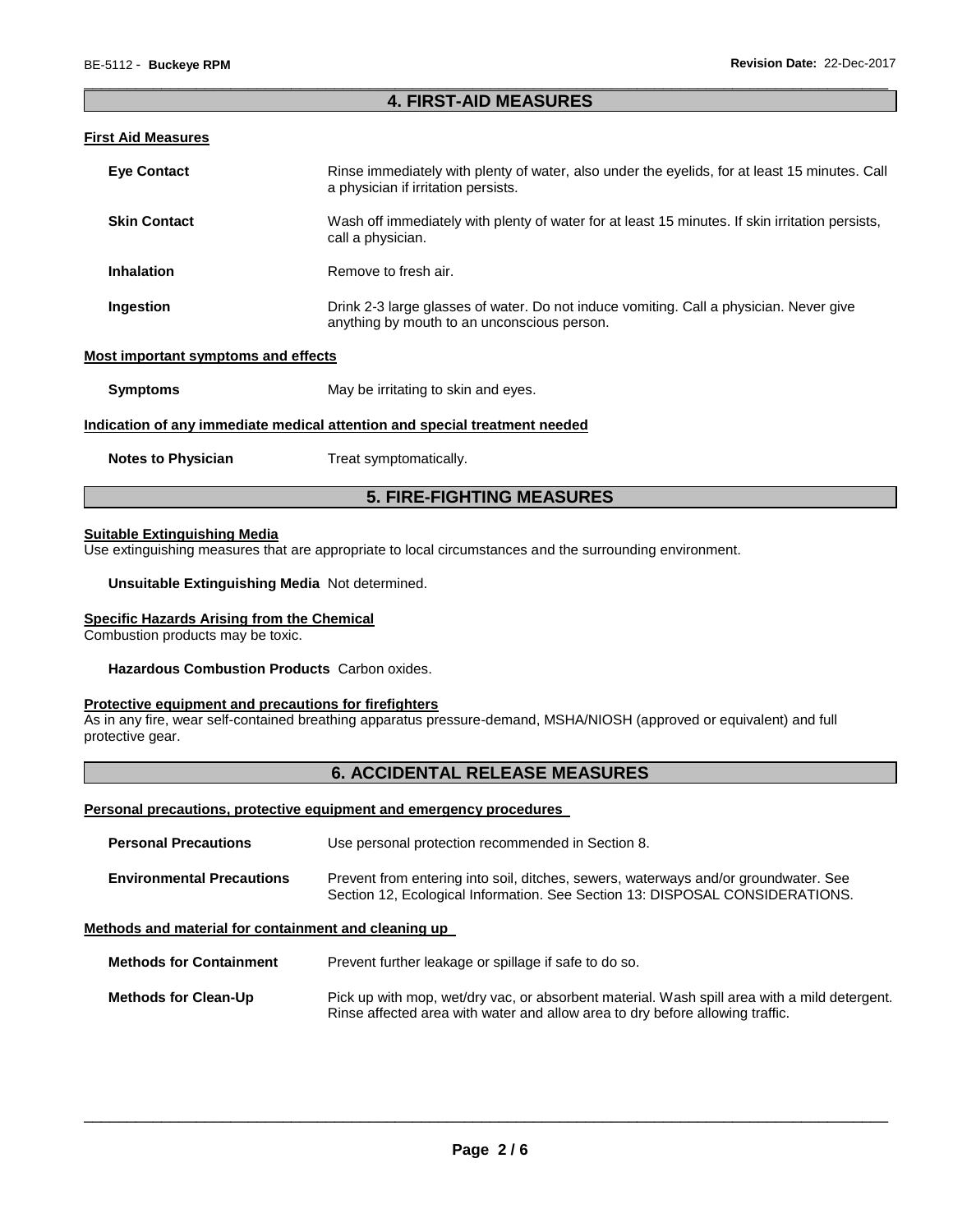#### \_\_\_\_\_\_\_\_\_\_\_\_\_\_\_\_\_\_\_\_\_\_\_\_\_\_\_\_\_\_\_\_\_\_\_\_\_\_\_\_\_\_\_\_\_\_\_\_\_\_\_\_\_\_\_\_\_\_\_\_\_\_\_\_\_\_\_\_\_\_\_\_\_\_\_\_\_\_\_\_\_\_\_\_\_\_\_\_\_\_\_\_\_ **4. FIRST-AID MEASURES**

#### **First Aid Measures**

| <b>Eye Contact</b>                                                         | Rinse immediately with plenty of water, also under the eyelids, for at least 15 minutes. Call<br>a physician if irritation persists.  |  |
|----------------------------------------------------------------------------|---------------------------------------------------------------------------------------------------------------------------------------|--|
| <b>Skin Contact</b>                                                        | Wash off immediately with plenty of water for at least 15 minutes. If skin irritation persists,<br>call a physician.                  |  |
| <b>Inhalation</b>                                                          | Remove to fresh air.                                                                                                                  |  |
| Ingestion                                                                  | Drink 2-3 large glasses of water. Do not induce vomiting. Call a physician. Never give<br>anything by mouth to an unconscious person. |  |
| Most important symptoms and effects                                        |                                                                                                                                       |  |
| <b>Symptoms</b>                                                            | May be irritating to skin and eyes.                                                                                                   |  |
| Indication of any immediate medical attention and special treatment needed |                                                                                                                                       |  |
| <b>Notes to Physician</b>                                                  | Treat symptomatically.                                                                                                                |  |

## **5. FIRE-FIGHTING MEASURES**

#### **Suitable Extinguishing Media**

Use extinguishing measures that are appropriate to local circumstances and the surrounding environment.

#### **Unsuitable Extinguishing Media** Not determined.

#### **Specific Hazards Arising from the Chemical**

Combustion products may be toxic.

**Hazardous Combustion Products** Carbon oxides.

#### **Protective equipment and precautions for firefighters**

As in any fire, wear self-contained breathing apparatus pressure-demand, MSHA/NIOSH (approved or equivalent) and full protective gear.

## **6. ACCIDENTAL RELEASE MEASURES**

#### **Personal precautions, protective equipment and emergency procedures**

| <b>Personal Precautions</b>      | Use personal protection recommended in Section 8.                                                                                                                   |  |
|----------------------------------|---------------------------------------------------------------------------------------------------------------------------------------------------------------------|--|
| <b>Environmental Precautions</b> | Prevent from entering into soil, ditches, sewers, waterways and/or groundwater. See<br>Section 12, Ecological Information. See Section 13: DISPOSAL CONSIDERATIONS. |  |

#### **Methods and material for containment and cleaning up**

**Methods for Containment** Prevent further leakage or spillage if safe to do so.

**Methods for Clean-Up** Pick up with mop, wet/dry vac, or absorbent material. Wash spill area with a mild detergent. Rinse affected area with water and allow area to dry before allowing traffic.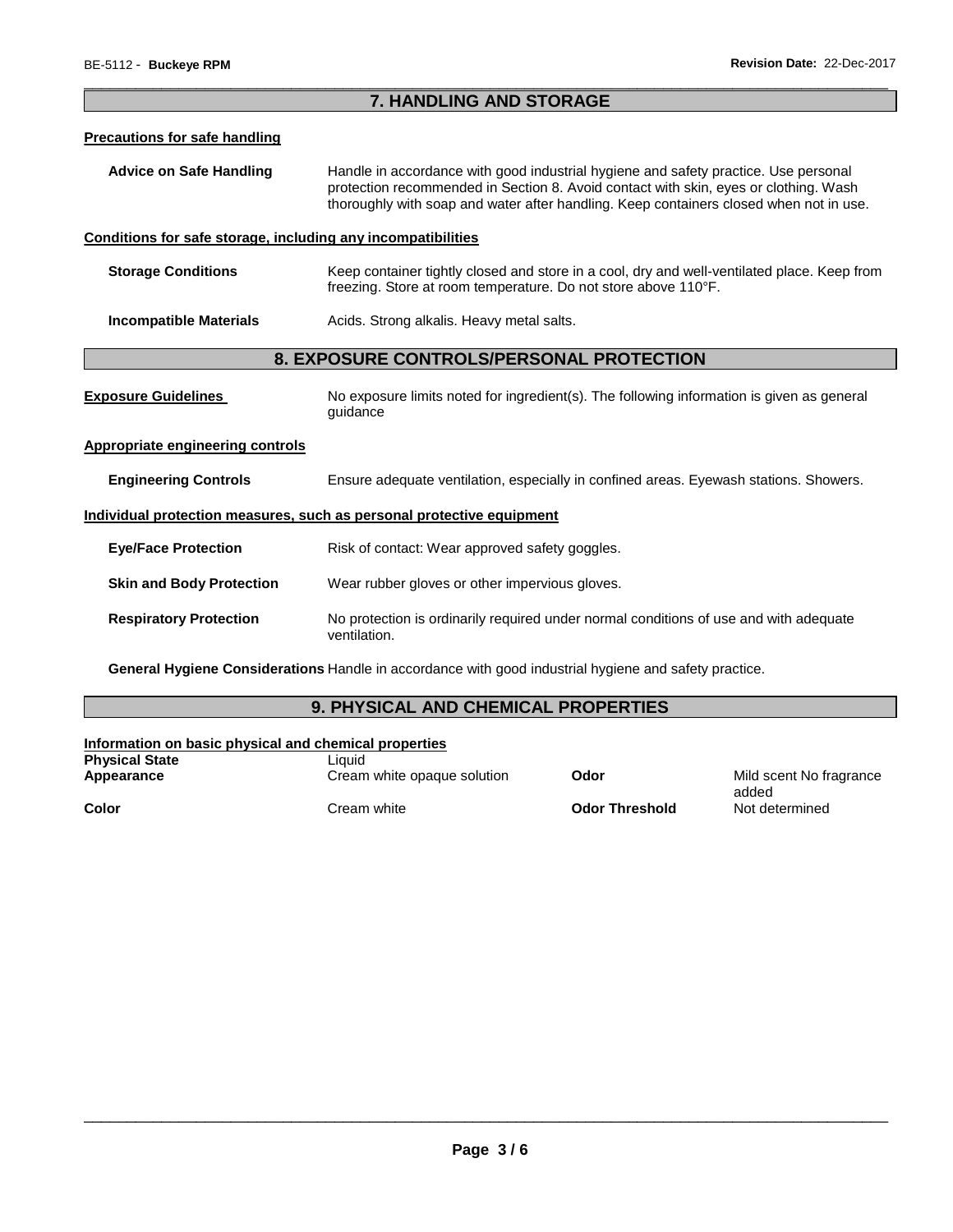## \_\_\_\_\_\_\_\_\_\_\_\_\_\_\_\_\_\_\_\_\_\_\_\_\_\_\_\_\_\_\_\_\_\_\_\_\_\_\_\_\_\_\_\_\_\_\_\_\_\_\_\_\_\_\_\_\_\_\_\_\_\_\_\_\_\_\_\_\_\_\_\_\_\_\_\_\_\_\_\_\_\_\_\_\_\_\_\_\_\_\_\_\_ **7. HANDLING AND STORAGE Precautions for safe handling Advice on Safe Handling** Handle in accordance with good industrial hygiene and safety practice. Use personal protection recommended in Section 8. Avoid contact with skin, eyes or clothing. Wash thoroughly with soap and water after handling. Keep containers closed when not in use. **Conditions for safe storage, including any incompatibilities Storage Conditions Keep container tightly closed and store in a cool, dry and well-ventilated place. Keep from** freezing. Store at room temperature. Do not store above 110°F. **Incompatible Materials Acids. Strong alkalis. Heavy metal salts. 8. EXPOSURE CONTROLS/PERSONAL PROTECTION Exposure Guidelines** No exposure limits noted for ingredient(s). The following information is given as general guidance **Appropriate engineering controls Engineering Controls** Ensure adequate ventilation, especially in confined areas. Eyewash stations. Showers. **Individual protection measures, such as personal protective equipment Eye/Face Protection Risk of contact: Wear approved safety goggles. Skin and Body Protection** Wear rubber gloves or other impervious gloves. **Respiratory Protection** No protection is ordinarily required under normal conditions of use and with adequate ventilation. **General Hygiene Considerations** Handle in accordance with good industrial hygiene and safety practice.

## **9. PHYSICAL AND CHEMICAL PROPERTIES**

| Information on basic physical and chemical properties |                             |                       |                                  |
|-------------------------------------------------------|-----------------------------|-----------------------|----------------------------------|
| <b>Physical State</b>                                 | Liauid                      |                       |                                  |
| Appearance                                            | Cream white opaque solution | Odor                  | Mild scent No fragrance<br>added |
| Color                                                 | Cream white                 | <b>Odor Threshold</b> | Not determined                   |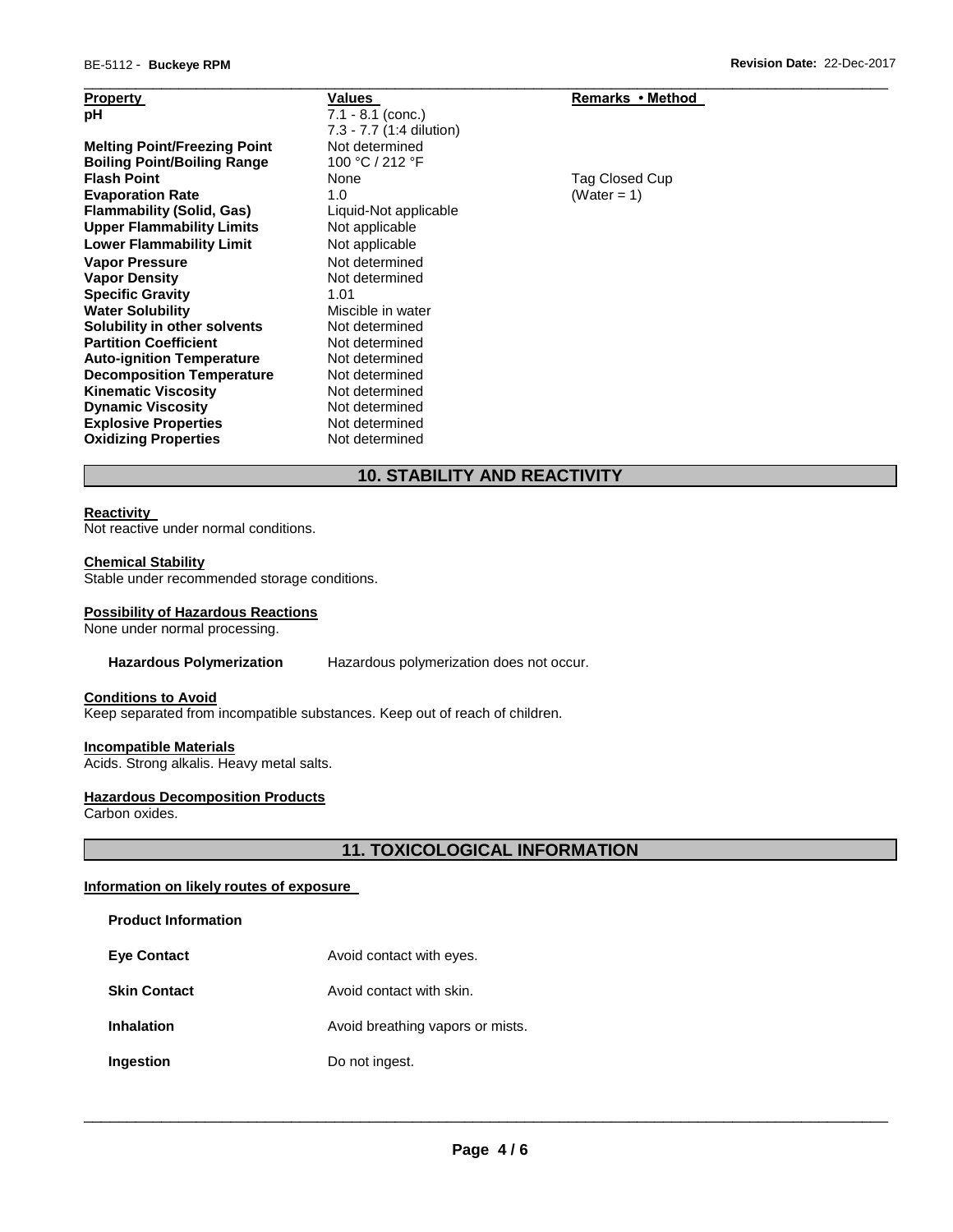| <b>Property</b>                     | Values                   | Remarks • Method |
|-------------------------------------|--------------------------|------------------|
| рH                                  | $7.1 - 8.1$ (conc.)      |                  |
|                                     | 7.3 - 7.7 (1:4 dilution) |                  |
| <b>Melting Point/Freezing Point</b> | Not determined           |                  |
| <b>Boiling Point/Boiling Range</b>  | 100 °C / 212 °F          |                  |
| <b>Flash Point</b>                  | None                     | Tag Closed Cup   |
| <b>Evaporation Rate</b>             | 1.0                      | (Water = 1)      |
| <b>Flammability (Solid, Gas)</b>    | Liquid-Not applicable    |                  |
| <b>Upper Flammability Limits</b>    | Not applicable           |                  |
| <b>Lower Flammability Limit</b>     | Not applicable           |                  |
| <b>Vapor Pressure</b>               | Not determined           |                  |
| <b>Vapor Density</b>                | Not determined           |                  |
| <b>Specific Gravity</b>             | 1.01                     |                  |
| <b>Water Solubility</b>             | Miscible in water        |                  |
| Solubility in other solvents        | Not determined           |                  |
| <b>Partition Coefficient</b>        | Not determined           |                  |
| <b>Auto-ignition Temperature</b>    | Not determined           |                  |
| <b>Decomposition Temperature</b>    | Not determined           |                  |
| <b>Kinematic Viscosity</b>          | Not determined           |                  |
| <b>Dynamic Viscosity</b>            | Not determined           |                  |
| <b>Explosive Properties</b>         | Not determined           |                  |
| <b>Oxidizing Properties</b>         | Not determined           |                  |

## **10. STABILITY AND REACTIVITY**

\_\_\_\_\_\_\_\_\_\_\_\_\_\_\_\_\_\_\_\_\_\_\_\_\_\_\_\_\_\_\_\_\_\_\_\_\_\_\_\_\_\_\_\_\_\_\_\_\_\_\_\_\_\_\_\_\_\_\_\_\_\_\_\_\_\_\_\_\_\_\_\_\_\_\_\_\_\_\_\_\_\_\_\_\_\_\_\_\_\_\_\_\_

#### **Reactivity**

Not reactive under normal conditions.

#### **Chemical Stability**

Stable under recommended storage conditions.

#### **Possibility of Hazardous Reactions**

None under normal processing.

#### **Hazardous Polymerization** Hazardous polymerization does not occur.

## **Conditions to Avoid**

Keep separated from incompatible substances. Keep out of reach of children.

#### **Incompatible Materials**

Acids. Strong alkalis. Heavy metal salts.

## **Hazardous Decomposition Products**

Carbon oxides.

## **11. TOXICOLOGICAL INFORMATION**

#### **Information on likely routes of exposure**

| Product Information |  |
|---------------------|--|
|---------------------|--|

| <b>Eye Contact</b> | Avoid contact with eyes. |
|--------------------|--------------------------|
|--------------------|--------------------------|

- **Skin Contact Avoid contact with skin.**
- **Inhalation Avoid breathing vapors or mists.**
- **Ingestion Do not ingest.**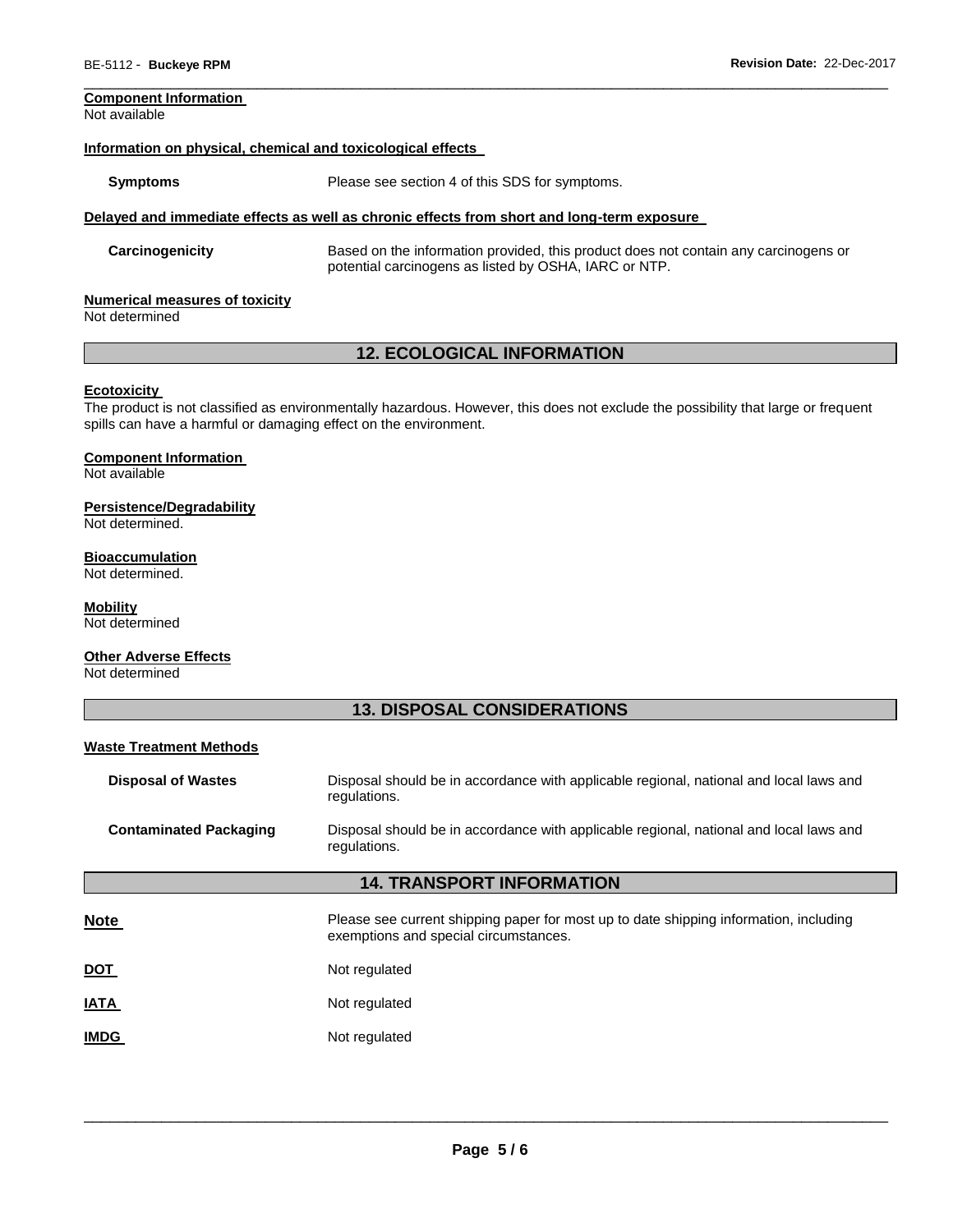## **Component Information**

Not available

#### **Information on physical, chemical and toxicological effects**

**Symptoms** Please see section 4 of this SDS for symptoms.

#### **Delayed and immediate effects as well as chronic effects from short and long-term exposure**

**Carcinogenicity** Based on the information provided, this product does not contain any carcinogens or potential carcinogens as listed by OSHA, IARC or NTP.

\_\_\_\_\_\_\_\_\_\_\_\_\_\_\_\_\_\_\_\_\_\_\_\_\_\_\_\_\_\_\_\_\_\_\_\_\_\_\_\_\_\_\_\_\_\_\_\_\_\_\_\_\_\_\_\_\_\_\_\_\_\_\_\_\_\_\_\_\_\_\_\_\_\_\_\_\_\_\_\_\_\_\_\_\_\_\_\_\_\_\_\_\_

#### **Numerical measures of toxicity**

Not determined

## **12. ECOLOGICAL INFORMATION**

#### **Ecotoxicity**

The product is not classified as environmentally hazardous. However, this does not exclude the possibility that large or frequent spills can have a harmful or damaging effect on the environment.

#### **Component Information**

Not available

#### **Persistence/Degradability**

Not determined.

#### **Bioaccumulation**

Not determined.

#### **Mobility**

Not determined

#### **Other Adverse Effects**

Not determined

## **13. DISPOSAL CONSIDERATIONS**

#### **Waste Treatment Methods**

| <b>Disposal of Wastes</b>        | Disposal should be in accordance with applicable regional, national and local laws and<br>regulations.                         |  |
|----------------------------------|--------------------------------------------------------------------------------------------------------------------------------|--|
| <b>Contaminated Packaging</b>    | Disposal should be in accordance with applicable regional, national and local laws and<br>regulations.                         |  |
| <b>14. TRANSPORT INFORMATION</b> |                                                                                                                                |  |
| <b>Note</b>                      | Please see current shipping paper for most up to date shipping information, including<br>exemptions and special circumstances. |  |
| <u>DOT</u>                       | Not regulated                                                                                                                  |  |
| <b>ATAI</b>                      | Not regulated                                                                                                                  |  |
| <b>IMDG</b>                      | Not regulated                                                                                                                  |  |